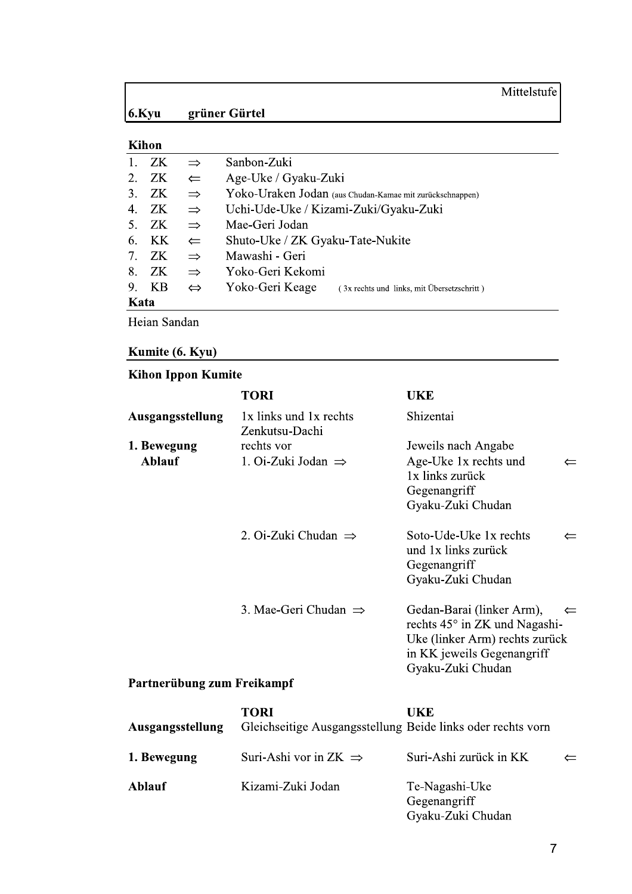## Mittelstufe

#### $6.$ Kyu grüner Gürtel

| Kihon       |           |                   |                                                               |  |  |
|-------------|-----------|-------------------|---------------------------------------------------------------|--|--|
| 1.          | ZK.       | $\Rightarrow$     | Sanbon-Zuki                                                   |  |  |
| 2.          | ZK        | $\leftarrow$      | Age-Uke / Gyaku-Zuki                                          |  |  |
| 3.          | ZK        | $\Rightarrow$     | Yoko-Uraken Jodan (aus Chudan-Kamae mit zurückschnappen)      |  |  |
| 4.          | ZK.       | $\Rightarrow$     | Uchi-Ude-Uke / Kizami-Zuki/Gyaku-Zuki                         |  |  |
| $5_{\cdot}$ | ZK        | $\Rightarrow$     | Mae-Geri Jodan                                                |  |  |
| 6.          | <b>KK</b> | $\leftarrow$      | Shuto-Uke / ZK Gyaku-Tate-Nukite                              |  |  |
| 7.          | ZK.       | $\Rightarrow$     | Mawashi - Geri                                                |  |  |
| 8.          | ZK.       | $\Rightarrow$     | Yoko-Geri Kekomi                                              |  |  |
| 9.          | <b>KB</b> | $\Leftrightarrow$ | Yoko-Geri Keage<br>(3x rechts und links, mit Übersetzschritt) |  |  |
| Kata        |           |                   |                                                               |  |  |
|             |           |                   |                                                               |  |  |

Heian Sandan

### Kumite (6. Kyu)

## **Kihon Ippon Kumite**

|                            | TORI                                     | <b>UKE</b>                                                                                                                                                      |
|----------------------------|------------------------------------------|-----------------------------------------------------------------------------------------------------------------------------------------------------------------|
| Ausgangsstellung           | 1x links und 1x rechts<br>Zenkutsu-Dachi | Shizentai                                                                                                                                                       |
| 1. Bewegung                | rechts vor                               | Jeweils nach Angabe                                                                                                                                             |
| <b>Ablauf</b>              | 1. Oi-Zuki Jodan $\Rightarrow$           | Age-Uke 1x rechts und<br>⇐<br>1x links zurück<br>Gegenangriff<br>Gyaku-Zuki Chudan                                                                              |
|                            | 2. Oi-Zuki Chudan $\Rightarrow$          | Soto-Ude-Uke 1x rechts<br>$\Leftarrow$<br>und 1x links zurück<br>Gegenangriff<br>Gyaku-Zuki Chudan                                                              |
|                            | 3. Mae-Geri Chudan $\Rightarrow$         | Gedan-Barai (linker Arm),<br>$\leftarrow$<br>rechts 45° in ZK und Nagashi-<br>Uke (linker Arm) rechts zurück<br>in KK jeweils Gegenangriff<br>Gyaku-Zuki Chudan |
| Partnerübung zum Freikampf |                                          |                                                                                                                                                                 |

#### **TORI UKE** Ausgangsstellung Gleichseitige Ausgangsstellung Beide links oder rechts vorn 1. Bewegung Suri-Ashi vor in ZK  $\Rightarrow$ Suri-Ashi zurück in KK Ablauf Kizami-Zuki Jodan Te-Nagashi-Uke Gegenangriff Gyaku-Zuki Chudan

 $\Leftarrow$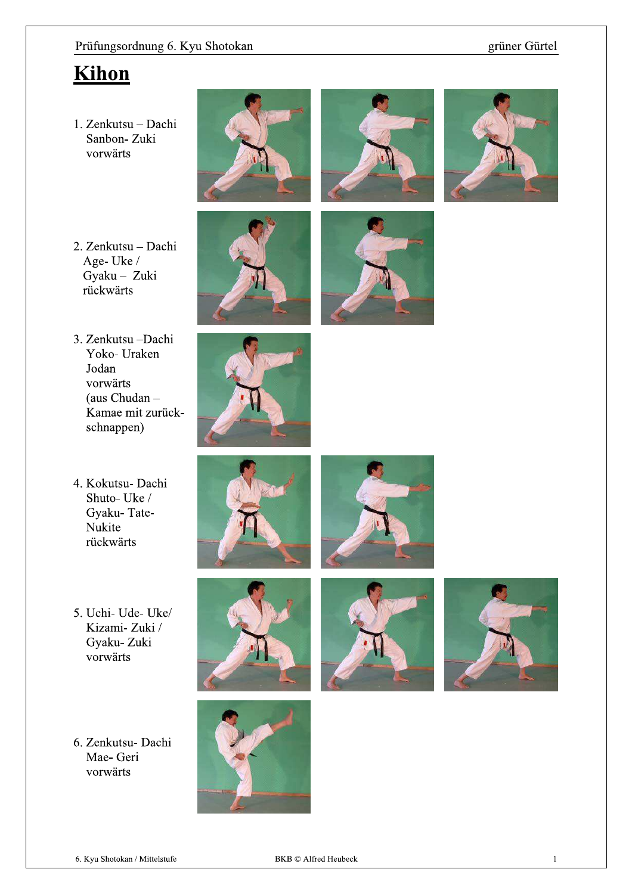### grüner Gürtel

# Kihon

1. Zenkutsu - Dachi Sanbon-Zuki vorwärts







- 2. Zenkutsu Dachi Age-Uke/ Gyaku - Zuki rückwärts
- 3. Zenkutsu Dachi Yoko- Uraken Jodan vorwärts (aus Chudan -Kamae mit zurückschnappen)



- 4. Kokutsu- Dachi Shuto-Uke / Gyaku-Tate-Nukite rückwärts
- 5. Uchi- Ude- Uke/ Kizami-Zuki / Gyaku-Zuki vorwärts
- 6. Zenkutsu- Dachi Mae- Geri vorwärts













 $\mathbf{1}$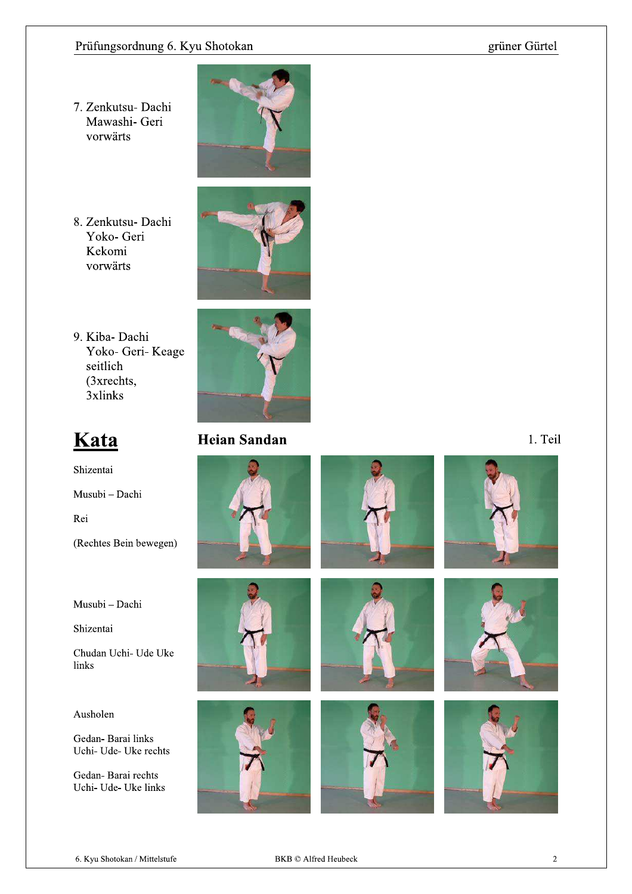### grüner Gürtel

7. Zenkutsu- Dachi Mawashi- Geri vorwärts



8. Zenkutsu- Dachi Yoko- Geri Kekomi vorwärts



9. Kiba-Dachi Yoko- Geri- Keage seitlich  $(3xrechts,$ 3xlinks



# Kata

Shizentai Musubi - Dachi Rei (Rechtes Bein bewegen)

Musubi - Dachi

Shizentai

Chudan Uchi- Ude Uke links

### Ausholen

Gedan-Barai links Uchi- Ude- Uke rechts

Gedan-Barai rechts Uchi- Ude- Uke links



## **Heian Sandan**



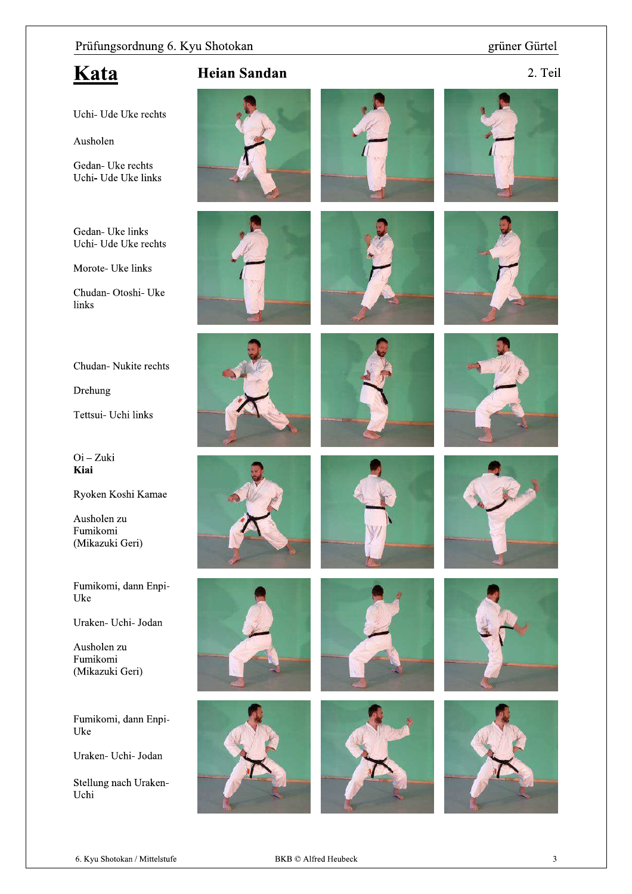### grüner Gürtel

## Kata

2. Teil

Uchi- Ude Uke rechts

Ausholen

Gedan- Uke rechts Uchi- Ude Uke links

Gedan- Uke links Uchi- Ude Uke rechts

Morote- Uke links

Chudan- Otoshi- Uke links

Chudan-Nukite rechts

Drehung

Tettsui- Uchi links

 $Oi - Zuki$ Kiai

Ryoken Koshi Kamae

Ausholen zu Fumikomi (Mikazuki Geri)

Fumikomi, dann Enpi-Uke

Uraken- Uchi- Jodan

Ausholen zu Fumikomi (Mikazuki Geri)

Fumikomi, dann Enpi-Uke

Uraken- Uchi- Jodan

Stellung nach Uraken-Uchi



**Heian Sandan** 

























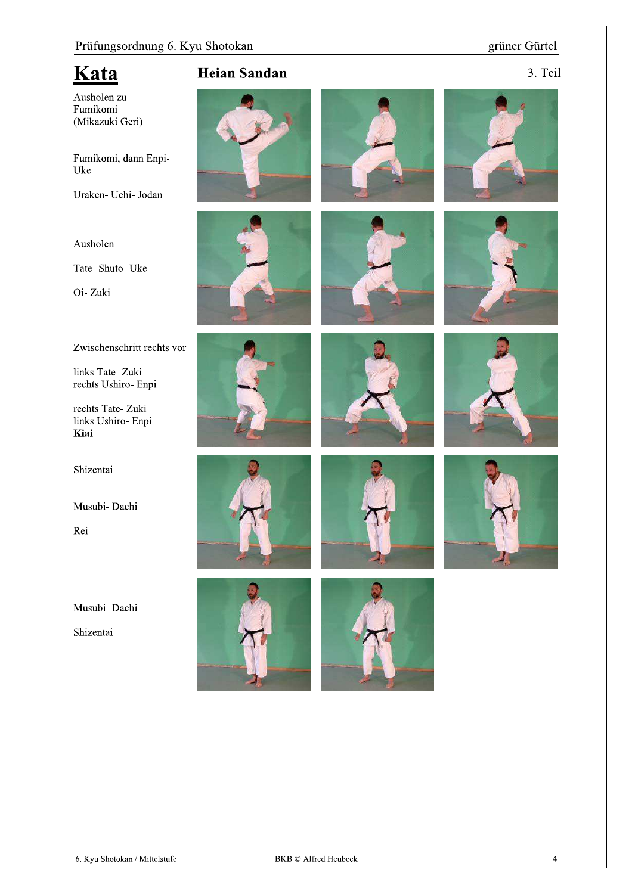### grüner Gürtel

3. Teil

## Kata

Ausholen zu Fumikomi (Mikazuki Geri)

Fumikomi, dann Enpi-Uke

Uraken- Uchi- Jodan

### Ausholen

Tate- Shuto- Uke

Oi-Zuki

Zwischenschritt rechts vor

links Tate-Zuki rechts Ushiro- Enpi

rechts Tate-Zuki links Ushiro- Enpi Kiai

Shizentai

Musubi- Dachi

Rei

Musubi- Dachi

Shizentai

## **Heian Sandan**



















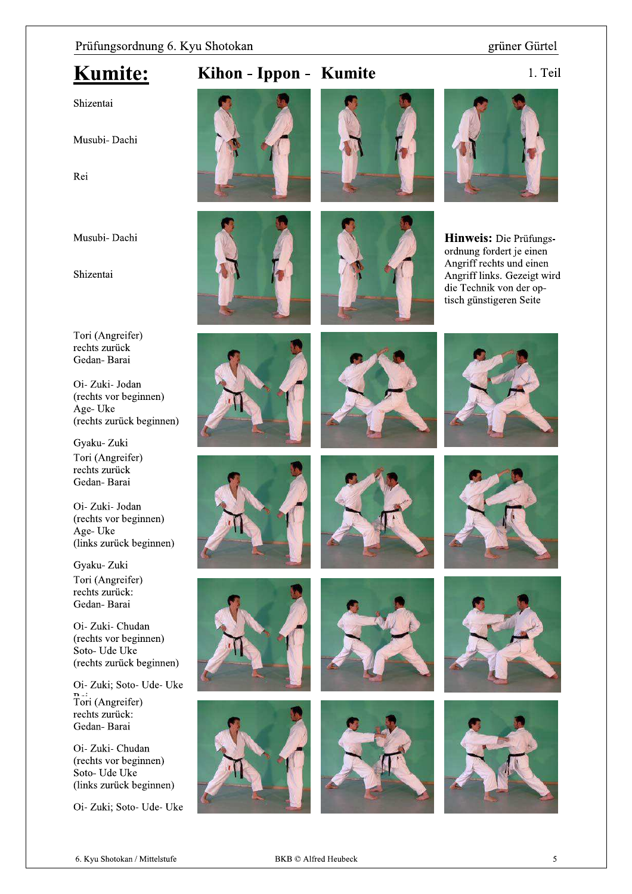#### grüner Gürtel

## **Kumite:**

## Kihon - Ippon - Kumite

1. Teil

## Shizentai

Musubi- Dachi

Rei

Musubi-Dachi

Shizentai









**Hinweis:** Die Prüfungsordnung fordert je einen Angriff rechts und einen Angriff links. Gezeigt wird die Technik von der optisch günstigeren Seite

Tori (Angreifer) rechts zurück Gedan-Barai

Oi-Zuki-Jodan (rechts vor beginnen) Age-Uke (rechts zurück beginnen)

Gyaku-Zuki Tori (Angreifer) rechts zurück Gedan-Barai

Oi-Zuki-Jodan (rechts vor beginnen) Age-Uke (links zurück beginnen)

Gyaku-Zuki Tori (Angreifer) rechts zurück: Gedan-Barai

Oi- Zuki- Chudan (rechts vor beginnen) Soto- Ude Uke (rechts zurück beginnen)

Oi- Zuki; Soto- Ude- Uke Tori (Angreifer)

rechts zurück: Gedan-Barai

Oi- Zuki- Chudan (rechts vor beginnen) Soto-Ude Uke (links zurück beginnen)

Oi- Zuki; Soto- Ude- Uke













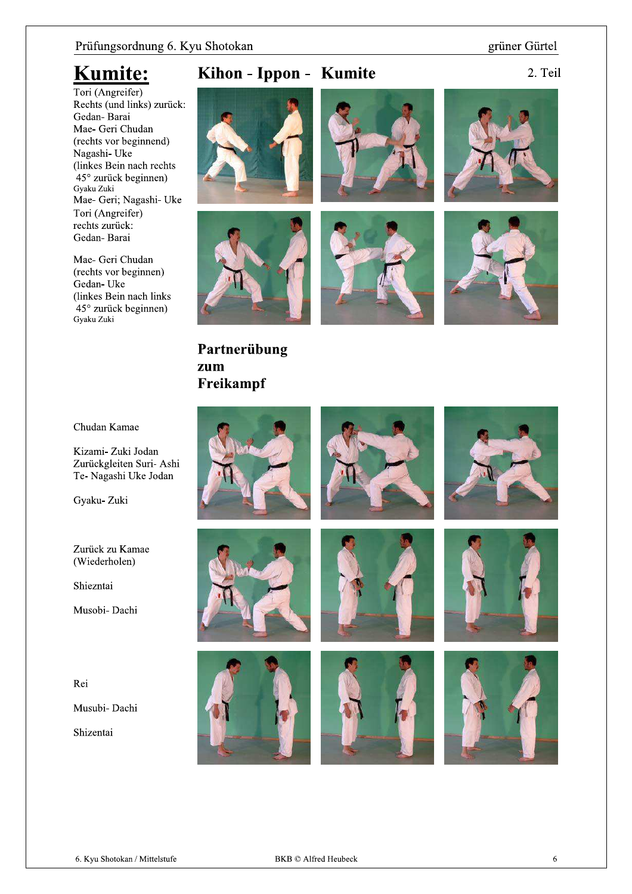grüner Gürtel

## **Kumite:**

Tori (Angreifer) Rechts (und links) zurück: Gedan-Barai Mae- Geri Chudan (rechts vor beginnend) Nagashi- Uke (linkes Bein nach rechts 45° zurück beginnen) Gyaku Zuki Mae- Geri; Nagashi- Uke Tori (Angreifer) rechts zurück: Gedan-Barai

Mae- Geri Chudan (rechts vor beginnen) Gedan-Uke (linkes Bein nach links 45° zurück beginnen) Gyaku Zuki

## Kihon - Ippon - Kumite

2. Teil





Partnerübung

zum







Chudan Kamae

Kizami- Zuki Jodan Zurückgleiten Suri- Ashi Te- Nagashi Uke Jodan

Gyaku-Zuki

Zurück zu Kamae (Wiederholen)

Shiezntai

Musobi- Dachi

Rei

Musubi- Dachi

Shizentai